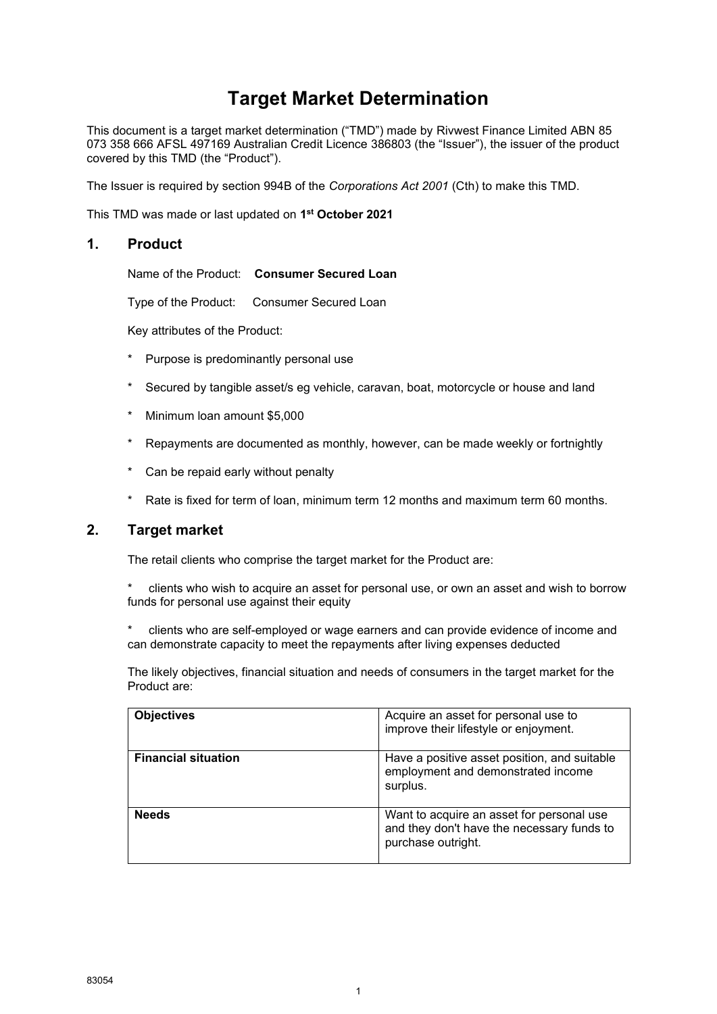# **Target Market Determination**

This document is a target market determination ("TMD") made by Rivwest Finance Limited ABN 85 073 358 666 AFSL 497169 Australian Credit Licence 386803 (the "Issuer"), the issuer of the product covered by this TMD (the "Product").

The Issuer is required by section 994B of the *Corporations Act 2001* (Cth) to make this TMD.

This TMD was made or last updated on **1 st October 2021**

# **1. Product**

Name of the Product: **Consumer Secured Loan**

Type of the Product: Consumer Secured Loan

Key attributes of the Product:

- Purpose is predominantly personal use
- Secured by tangible asset/s eg vehicle, caravan, boat, motorcycle or house and land
- \* Minimum loan amount \$5,000
- Repayments are documented as monthly, however, can be made weekly or fortnightly
- Can be repaid early without penalty
- Rate is fixed for term of loan, minimum term 12 months and maximum term 60 months.

#### **2. Target market**

The retail clients who comprise the target market for the Product are:

clients who wish to acquire an asset for personal use, or own an asset and wish to borrow funds for personal use against their equity

clients who are self-employed or wage earners and can provide evidence of income and can demonstrate capacity to meet the repayments after living expenses deducted

The likely objectives, financial situation and needs of consumers in the target market for the Product are:

| <b>Objectives</b>          | Acquire an asset for personal use to<br>improve their lifestyle or enjoyment.                                 |
|----------------------------|---------------------------------------------------------------------------------------------------------------|
| <b>Financial situation</b> | Have a positive asset position, and suitable<br>employment and demonstrated income<br>surplus.                |
| <b>Needs</b>               | Want to acquire an asset for personal use<br>and they don't have the necessary funds to<br>purchase outright. |